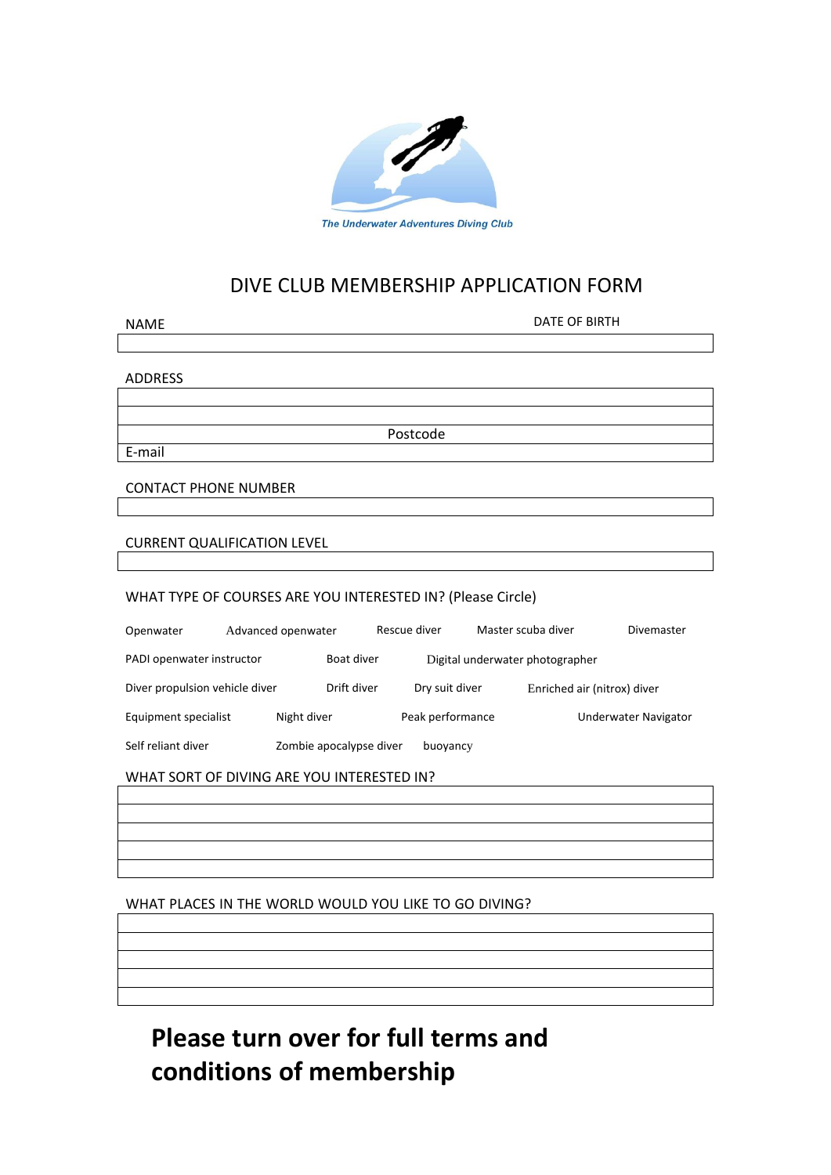

# DIVE CLUB MEMBERSHIP APPLICATION FORM

| <b>NAME</b>                                                 |                    |             | <b>DATE OF BIRTH</b>            |                    |                             |
|-------------------------------------------------------------|--------------------|-------------|---------------------------------|--------------------|-----------------------------|
|                                                             |                    |             |                                 |                    |                             |
|                                                             |                    |             |                                 |                    |                             |
| <b>ADDRESS</b>                                              |                    |             |                                 |                    |                             |
|                                                             |                    |             |                                 |                    |                             |
| Postcode                                                    |                    |             |                                 |                    |                             |
| E-mail                                                      |                    |             |                                 |                    |                             |
|                                                             |                    |             |                                 |                    |                             |
| <b>CONTACT PHONE NUMBER</b>                                 |                    |             |                                 |                    |                             |
|                                                             |                    |             |                                 |                    |                             |
| <b>CURRENT QUALIFICATION LEVEL</b>                          |                    |             |                                 |                    |                             |
|                                                             |                    |             |                                 |                    |                             |
| WHAT TYPE OF COURSES ARE YOU INTERESTED IN? (Please Circle) |                    |             |                                 |                    |                             |
| Openwater                                                   | Advanced openwater |             | Rescue diver                    | Master scuba diver | Divemaster                  |
| Boat diver<br>PADI openwater instructor                     |                    |             | Digital underwater photographer |                    |                             |
| Diver propulsion vehicle diver                              |                    | Drift diver | Dry suit diver                  |                    | Enriched air (nitrox) diver |
| Equipment specialist                                        | Night diver        |             | Peak performance                |                    | <b>Underwater Navigator</b> |
| Self reliant diver<br>Zombie apocalypse diver<br>buoyancy   |                    |             |                                 |                    |                             |
| WHAT SORT OF DIVING ARE YOU INTERESTED IN?                  |                    |             |                                 |                    |                             |
|                                                             |                    |             |                                 |                    |                             |
|                                                             |                    |             |                                 |                    |                             |

## WHAT PLACES IN THE WORLD WOULD YOU LIKE TO GO DIVING?